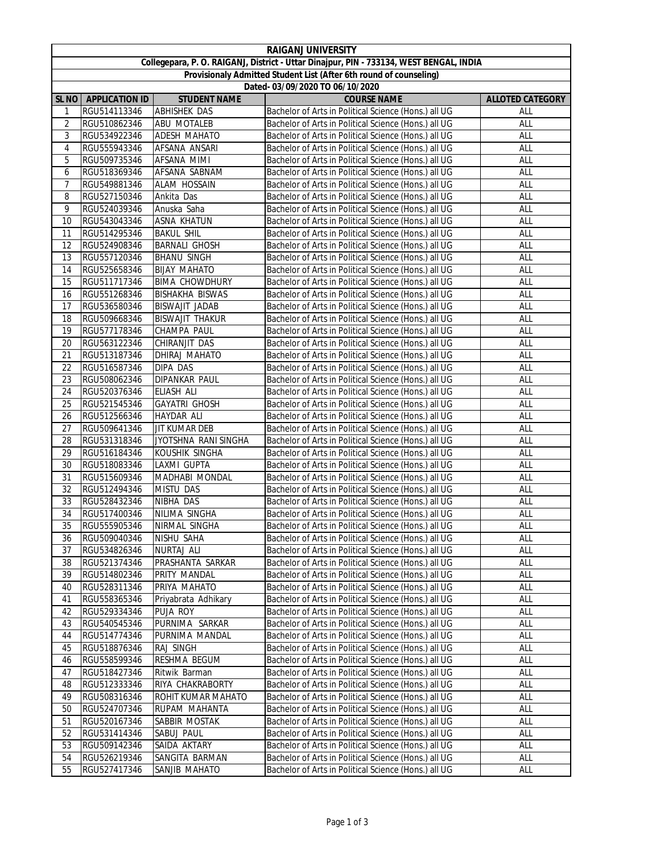|                                                                                         | <b>RAIGANJ UNIVERSITY</b> |                           |                                                                                                              |                         |  |  |  |  |
|-----------------------------------------------------------------------------------------|---------------------------|---------------------------|--------------------------------------------------------------------------------------------------------------|-------------------------|--|--|--|--|
| Collegepara, P. O. RAIGANJ, District - Uttar Dinajpur, PIN - 733134, WEST BENGAL, INDIA |                           |                           |                                                                                                              |                         |  |  |  |  |
| Provisionaly Admitted Student List (After 6th round of counseling)                      |                           |                           |                                                                                                              |                         |  |  |  |  |
|                                                                                         |                           |                           | Dated- 03/09/2020 TO 06/10/2020                                                                              |                         |  |  |  |  |
| <b>SL NO</b>                                                                            | <b>APPLICATION ID</b>     | <b>STUDENT NAME</b>       | <b>COURSE NAME</b>                                                                                           | <b>ALLOTED CATEGORY</b> |  |  |  |  |
| 1                                                                                       | RGU514113346              | <b>ABHISHEK DAS</b>       | Bachelor of Arts in Political Science (Hons.) all UG                                                         | ALL                     |  |  |  |  |
| 2                                                                                       | RGU510862346              | ABU MOTALEB               | Bachelor of Arts in Political Science (Hons.) all UG                                                         | ALL                     |  |  |  |  |
| 3                                                                                       | RGU534922346              | ADESH MAHATO              | Bachelor of Arts in Political Science (Hons.) all UG                                                         | ALL                     |  |  |  |  |
| 4                                                                                       | RGU555943346              | AFSANA ANSARI             | Bachelor of Arts in Political Science (Hons.) all UG                                                         | ALL                     |  |  |  |  |
| 5                                                                                       | RGU509735346              | AFSANA MIMI               | Bachelor of Arts in Political Science (Hons.) all UG                                                         | ALL                     |  |  |  |  |
| 6                                                                                       | RGU518369346              | AFSANA SABNAM             | Bachelor of Arts in Political Science (Hons.) all UG                                                         | ALL                     |  |  |  |  |
| $\overline{7}$                                                                          |                           | <b>ALAM HOSSAIN</b>       |                                                                                                              | ALL                     |  |  |  |  |
|                                                                                         | RGU549881346              |                           | Bachelor of Arts in Political Science (Hons.) all UG                                                         |                         |  |  |  |  |
| 8                                                                                       | RGU527150346              | Ankita Das                | Bachelor of Arts in Political Science (Hons.) all UG                                                         | ALL                     |  |  |  |  |
| 9                                                                                       | RGU524039346              | Anuska Saha               | Bachelor of Arts in Political Science (Hons.) all UG                                                         | ALL                     |  |  |  |  |
| 10                                                                                      | RGU543043346              | <b>ASNA KHATUN</b>        | Bachelor of Arts in Political Science (Hons.) all UG                                                         | ALL                     |  |  |  |  |
| 11                                                                                      | RGU514295346              | <b>BAKUL SHIL</b>         | Bachelor of Arts in Political Science (Hons.) all UG                                                         | ALL                     |  |  |  |  |
| 12                                                                                      | RGU524908346              | <b>BARNALI GHOSH</b>      | Bachelor of Arts in Political Science (Hons.) all UG                                                         | ALL                     |  |  |  |  |
| 13                                                                                      | RGU557120346              | <b>BHANU SINGH</b>        | Bachelor of Arts in Political Science (Hons.) all UG                                                         | ALL                     |  |  |  |  |
| 14                                                                                      | RGU525658346              | <b>BIJAY MAHATO</b>       | Bachelor of Arts in Political Science (Hons.) all UG                                                         | ALL                     |  |  |  |  |
| 15                                                                                      | RGU511717346              | <b>BIMA CHOWDHURY</b>     | Bachelor of Arts in Political Science (Hons.) all UG                                                         | ALL                     |  |  |  |  |
| 16                                                                                      | RGU551268346              | <b>BISHAKHA BISWAS</b>    | Bachelor of Arts in Political Science (Hons.) all UG                                                         | ALL                     |  |  |  |  |
| 17                                                                                      | RGU536580346              | BISWAJIT JADAB            | Bachelor of Arts in Political Science (Hons.) all UG                                                         | ALL                     |  |  |  |  |
| 18                                                                                      | RGU509668346              | <b>BISWAJIT THAKUR</b>    | Bachelor of Arts in Political Science (Hons.) all UG                                                         | ALL                     |  |  |  |  |
| 19                                                                                      | RGU577178346              | CHAMPA PAUL               | Bachelor of Arts in Political Science (Hons.) all UG                                                         | ALL                     |  |  |  |  |
| 20                                                                                      | RGU563122346              | CHIRANJIT DAS             | Bachelor of Arts in Political Science (Hons.) all UG                                                         | ALL                     |  |  |  |  |
| 21                                                                                      | RGU513187346              | DHIRAJ MAHATO             | Bachelor of Arts in Political Science (Hons.) all UG                                                         | ALL                     |  |  |  |  |
| 22                                                                                      | RGU516587346              | DIPA DAS                  | Bachelor of Arts in Political Science (Hons.) all UG                                                         | ALL                     |  |  |  |  |
| 23                                                                                      | RGU508062346              | <b>DIPANKAR PAUL</b>      | Bachelor of Arts in Political Science (Hons.) all UG                                                         | ALL                     |  |  |  |  |
| 24                                                                                      | RGU520376346              | ELIASH ALI                | Bachelor of Arts in Political Science (Hons.) all UG                                                         | ALL                     |  |  |  |  |
| 25                                                                                      | RGU521545346              | <b>GAYATRI GHOSH</b>      | Bachelor of Arts in Political Science (Hons.) all UG                                                         | ALL                     |  |  |  |  |
| 26                                                                                      | RGU512566346              | <b>HAYDAR ALI</b>         | Bachelor of Arts in Political Science (Hons.) all UG                                                         | ALL                     |  |  |  |  |
| 27                                                                                      | RGU509641346              | <b>JIT KUMAR DEB</b>      | Bachelor of Arts in Political Science (Hons.) all UG                                                         | ALL                     |  |  |  |  |
| 28                                                                                      | RGU531318346              | JYOTSHNA RANI SINGHA      | Bachelor of Arts in Political Science (Hons.) all UG                                                         | ALL                     |  |  |  |  |
| 29                                                                                      | RGU516184346              | KOUSHIK SINGHA            | Bachelor of Arts in Political Science (Hons.) all UG                                                         | ALL                     |  |  |  |  |
| 30                                                                                      | RGU518083346              | LAXMI GUPTA               | Bachelor of Arts in Political Science (Hons.) all UG                                                         | ALL                     |  |  |  |  |
| 31                                                                                      | RGU515609346              | MADHABI MONDAL            | Bachelor of Arts in Political Science (Hons.) all UG                                                         | ALL                     |  |  |  |  |
| 32                                                                                      | RGU512494346              | MISTU DAS                 | Bachelor of Arts in Political Science (Hons.) all UG                                                         | ALL                     |  |  |  |  |
| 33                                                                                      | RGU528432346              | NIBHA DAS                 | Bachelor of Arts in Political Science (Hons.) all UG                                                         | ALL                     |  |  |  |  |
| 34                                                                                      | RGU517400346              | NILIMA SINGHA             | Bachelor of Arts in Political Science (Hons.) all UG                                                         | ALL                     |  |  |  |  |
| 35                                                                                      | RGU555905346              | NIRMAL SINGHA             | Bachelor of Arts in Political Science (Hons.) all UG                                                         | ALL                     |  |  |  |  |
| 36                                                                                      | RGU509040346              | NISHU SAHA                | Bachelor of Arts in Political Science (Hons.) all UG                                                         | ALL                     |  |  |  |  |
| 37                                                                                      | RGU534826346              | NURTAJ ALI                | Bachelor of Arts in Political Science (Hons.) all UG                                                         | ALL                     |  |  |  |  |
| 38                                                                                      | RGU521374346              | PRASHANTA SARKAR          | Bachelor of Arts in Political Science (Hons.) all UG                                                         | ALL                     |  |  |  |  |
| 39                                                                                      | RGU514802346              | PRITY MANDAL              | Bachelor of Arts in Political Science (Hons.) all UG                                                         | ALL                     |  |  |  |  |
| 40                                                                                      | RGU528311346              | PRIYA MAHATO              | Bachelor of Arts in Political Science (Hons.) all UG                                                         | ALL                     |  |  |  |  |
| 41                                                                                      | RGU558365346              | Priyabrata Adhikary       | Bachelor of Arts in Political Science (Hons.) all UG                                                         | ALL                     |  |  |  |  |
| 42                                                                                      | RGU529334346              | PUJA ROY                  | Bachelor of Arts in Political Science (Hons.) all UG                                                         | ALL                     |  |  |  |  |
| 43                                                                                      | RGU540545346              | PURNIMA SARKAR            | Bachelor of Arts in Political Science (Hons.) all UG                                                         | ALL                     |  |  |  |  |
| 44                                                                                      | RGU514774346              | PURNIMA MANDAL            | Bachelor of Arts in Political Science (Hons.) all UG                                                         | ALL                     |  |  |  |  |
|                                                                                         | RGU518876346              |                           |                                                                                                              |                         |  |  |  |  |
| 45                                                                                      | RGU558599346              | RAJ SINGH<br>RESHMA BEGUM | Bachelor of Arts in Political Science (Hons.) all UG<br>Bachelor of Arts in Political Science (Hons.) all UG | ALL<br>ALL              |  |  |  |  |
| 46                                                                                      |                           |                           |                                                                                                              |                         |  |  |  |  |
| 47                                                                                      | RGU518427346              | Ritwik Barman             | Bachelor of Arts in Political Science (Hons.) all UG                                                         | ALL                     |  |  |  |  |
| 48                                                                                      | RGU512333346              | RIYA CHAKRABORTY          | Bachelor of Arts in Political Science (Hons.) all UG                                                         | ALL                     |  |  |  |  |
| 49                                                                                      | RGU508316346              | ROHIT KUMAR MAHATO        | Bachelor of Arts in Political Science (Hons.) all UG                                                         | ALL                     |  |  |  |  |
| 50                                                                                      | RGU524707346              | RUPAM MAHANTA             | Bachelor of Arts in Political Science (Hons.) all UG                                                         | ALL                     |  |  |  |  |
| 51                                                                                      | RGU520167346              | SABBIR MOSTAK             | Bachelor of Arts in Political Science (Hons.) all UG                                                         | ALL                     |  |  |  |  |
| 52                                                                                      | RGU531414346              | SABUJ PAUL                | Bachelor of Arts in Political Science (Hons.) all UG                                                         | ALL                     |  |  |  |  |
| 53                                                                                      | RGU509142346              | SAIDA AKTARY              | Bachelor of Arts in Political Science (Hons.) all UG                                                         | ALL                     |  |  |  |  |
| 54                                                                                      | RGU526219346              | SANGITA BARMAN            | Bachelor of Arts in Political Science (Hons.) all UG                                                         | ALL                     |  |  |  |  |
| 55                                                                                      | RGU527417346              | SANJIB MAHATO             | Bachelor of Arts in Political Science (Hons.) all UG                                                         | ALL                     |  |  |  |  |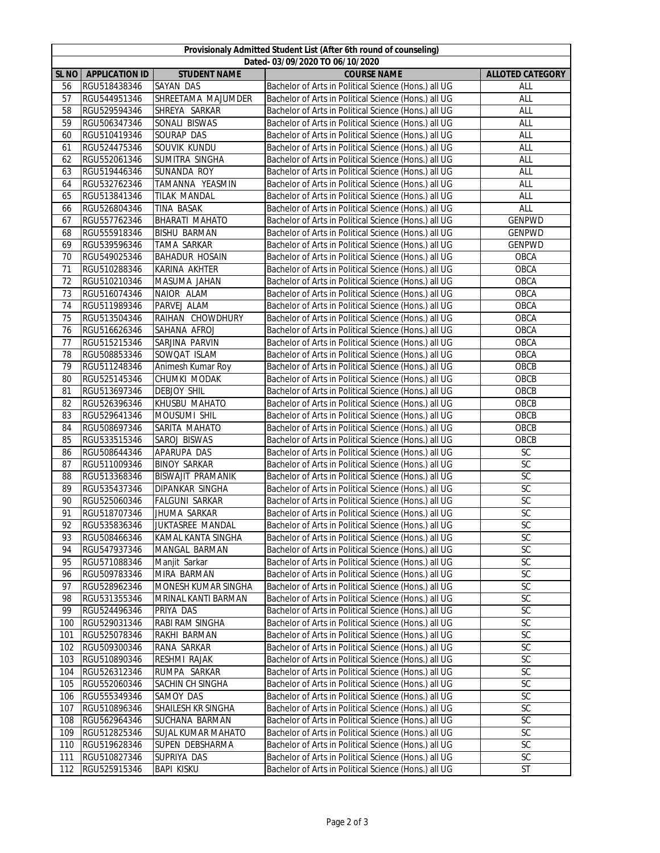|                                | Provisionaly Admitted Student List (After 6th round of counseling) |                           |                                                      |                         |  |  |  |
|--------------------------------|--------------------------------------------------------------------|---------------------------|------------------------------------------------------|-------------------------|--|--|--|
| Dated-03/09/2020 TO 06/10/2020 |                                                                    |                           |                                                      |                         |  |  |  |
|                                | SL NO   APPLICATION ID                                             | <b>STUDENT NAME</b>       | <b>COURSE NAME</b>                                   | <b>ALLOTED CATEGORY</b> |  |  |  |
| 56                             | RGU518438346                                                       | SAYAN DAS                 | Bachelor of Arts in Political Science (Hons.) all UG | ALL                     |  |  |  |
| 57                             | RGU544951346                                                       | SHREETAMA MAJUMDER        | Bachelor of Arts in Political Science (Hons.) all UG | ALL                     |  |  |  |
| 58                             | RGU529594346                                                       | SHREYA SARKAR             | Bachelor of Arts in Political Science (Hons.) all UG | ALL                     |  |  |  |
| 59                             | RGU506347346                                                       | SONALI BISWAS             | Bachelor of Arts in Political Science (Hons.) all UG | ALL                     |  |  |  |
| 60                             | RGU510419346                                                       | SOURAP DAS                | Bachelor of Arts in Political Science (Hons.) all UG | ALL                     |  |  |  |
| 61                             | RGU524475346                                                       | SOUVIK KUNDU              | Bachelor of Arts in Political Science (Hons.) all UG | ALL                     |  |  |  |
| 62                             | RGU552061346                                                       | SUMITRA SINGHA            | Bachelor of Arts in Political Science (Hons.) all UG | ALL                     |  |  |  |
| 63                             | RGU519446346                                                       | SUNANDA ROY               | Bachelor of Arts in Political Science (Hons.) all UG | ALL                     |  |  |  |
| 64                             | RGU532762346                                                       | TAMANNA YEASMIN           | Bachelor of Arts in Political Science (Hons.) all UG | ALL                     |  |  |  |
| 65                             | RGU513841346                                                       | <b>TILAK MANDAL</b>       | Bachelor of Arts in Political Science (Hons.) all UG | ALL                     |  |  |  |
| 66                             | RGU526804346                                                       | TINA BASAK                | Bachelor of Arts in Political Science (Hons.) all UG | ALL                     |  |  |  |
| 67                             | RGU557762346                                                       | BHARATI MAHATO            | Bachelor of Arts in Political Science (Hons.) all UG | <b>GENPWD</b>           |  |  |  |
| 68                             | RGU555918346                                                       | <b>BISHU BARMAN</b>       | Bachelor of Arts in Political Science (Hons.) all UG | <b>GENPWD</b>           |  |  |  |
| 69                             | RGU539596346                                                       | TAMA SARKAR               | Bachelor of Arts in Political Science (Hons.) all UG | <b>GENPWD</b>           |  |  |  |
| 70                             | RGU549025346                                                       | <b>BAHADUR HOSAIN</b>     | Bachelor of Arts in Political Science (Hons.) all UG | OBCA                    |  |  |  |
| 71                             | RGU510288346                                                       | KARINA AKHTER             | Bachelor of Arts in Political Science (Hons.) all UG | OBCA                    |  |  |  |
| 72                             | RGU510210346                                                       | MASUMA JAHAN              | Bachelor of Arts in Political Science (Hons.) all UG | OBCA                    |  |  |  |
| 73                             | RGU516074346                                                       | NAIOR ALAM                | Bachelor of Arts in Political Science (Hons.) all UG | OBCA                    |  |  |  |
| 74                             | RGU511989346                                                       | PARVEJ ALAM               | Bachelor of Arts in Political Science (Hons.) all UG | OBCA                    |  |  |  |
| 75                             | RGU513504346                                                       | RAIHAN CHOWDHURY          | Bachelor of Arts in Political Science (Hons.) all UG | OBCA                    |  |  |  |
| 76                             | RGU516626346                                                       | SAHANA AFROJ              | Bachelor of Arts in Political Science (Hons.) all UG | OBCA                    |  |  |  |
| 77                             | RGU515215346                                                       | SARJINA PARVIN            | Bachelor of Arts in Political Science (Hons.) all UG | OBCA                    |  |  |  |
| 78                             | RGU508853346                                                       | SOWQAT ISLAM              | Bachelor of Arts in Political Science (Hons.) all UG | OBCA                    |  |  |  |
| 79                             | RGU511248346                                                       | Animesh Kumar Roy         | Bachelor of Arts in Political Science (Hons.) all UG | OBCB                    |  |  |  |
| 80                             | RGU525145346                                                       | CHUMKI MODAK              | Bachelor of Arts in Political Science (Hons.) all UG | OBCB                    |  |  |  |
| 81                             | RGU513697346                                                       | <b>DEBJOY SHIL</b>        | Bachelor of Arts in Political Science (Hons.) all UG | OBCB                    |  |  |  |
| 82                             | RGU526396346                                                       | KHUSBU MAHATO             | Bachelor of Arts in Political Science (Hons.) all UG | OBCB                    |  |  |  |
| 83                             | RGU529641346                                                       | MOUSUMI SHIL              | Bachelor of Arts in Political Science (Hons.) all UG | OBCB                    |  |  |  |
| 84                             | RGU508697346                                                       | SARITA MAHATO             | Bachelor of Arts in Political Science (Hons.) all UG | OBCB                    |  |  |  |
| 85                             | RGU533515346                                                       | SAROJ BISWAS              | Bachelor of Arts in Political Science (Hons.) all UG | OBCB                    |  |  |  |
| 86                             | RGU508644346                                                       | APARUPA DAS               | Bachelor of Arts in Political Science (Hons.) all UG | SC                      |  |  |  |
| 87                             | RGU511009346                                                       | <b>BINOY SARKAR</b>       | Bachelor of Arts in Political Science (Hons.) all UG | <b>SC</b>               |  |  |  |
| 88                             | RGU513368346                                                       | <b>BISWAJIT PRAMANIK</b>  | Bachelor of Arts in Political Science (Hons.) all UG | <b>SC</b>               |  |  |  |
| 89                             | RGU535437346                                                       | DIPANKAR SINGHA           | Bachelor of Arts in Political Science (Hons.) all UG | SC                      |  |  |  |
| 90                             | RGU525060346                                                       | <b>FALGUNI SARKAR</b>     | Bachelor of Arts in Political Science (Hons.) all UG | SC                      |  |  |  |
| 91                             | RGU518707346                                                       | <b>JHUMA SARKAR</b>       | Bachelor of Arts in Political Science (Hons.) all UG | $\overline{SC}$         |  |  |  |
| 92                             | RGU535836346                                                       | JUKTASREE MANDAL          | Bachelor of Arts in Political Science (Hons.) all UG | SC                      |  |  |  |
| 93                             | RGU508466346                                                       | KAMAL KANTA SINGHA        | Bachelor of Arts in Political Science (Hons.) all UG | SC                      |  |  |  |
| 94                             | RGU547937346                                                       | MANGAL BARMAN             | Bachelor of Arts in Political Science (Hons.) all UG | <b>SC</b>               |  |  |  |
| 95                             | RGU571088346                                                       | Manjit Sarkar             | Bachelor of Arts in Political Science (Hons.) all UG | SC                      |  |  |  |
| 96                             | RGU509783346                                                       | MIRA BARMAN               | Bachelor of Arts in Political Science (Hons.) all UG | SC                      |  |  |  |
| 97                             | RGU528962346                                                       | MONESH KUMAR SINGHA       | Bachelor of Arts in Political Science (Hons.) all UG | SC                      |  |  |  |
| 98                             | RGU531355346                                                       | MRINAL KANTI BARMAN       | Bachelor of Arts in Political Science (Hons.) all UG | $\mathsf{SC}$           |  |  |  |
| 99                             | RGU524496346                                                       | PRIYA DAS                 | Bachelor of Arts in Political Science (Hons.) all UG | SC                      |  |  |  |
| 100                            | RGU529031346                                                       | RABI RAM SINGHA           | Bachelor of Arts in Political Science (Hons.) all UG | SC                      |  |  |  |
| 101                            | RGU525078346                                                       | RAKHI BARMAN              | Bachelor of Arts in Political Science (Hons.) all UG | SC                      |  |  |  |
| 102                            | RGU509300346                                                       | RANA SARKAR               | Bachelor of Arts in Political Science (Hons.) all UG | SC                      |  |  |  |
| 103                            | RGU510890346                                                       | RESHMI RAJAK              | Bachelor of Arts in Political Science (Hons.) all UG | SC                      |  |  |  |
| 104                            | RGU526312346                                                       | RUMPA SARKAR              | Bachelor of Arts in Political Science (Hons.) all UG | SC                      |  |  |  |
| 105                            | RGU552060346                                                       | SACHIN CH SINGHA          | Bachelor of Arts in Political Science (Hons.) all UG | SC                      |  |  |  |
| 106                            | RGU555349346                                                       | SAMOY DAS                 | Bachelor of Arts in Political Science (Hons.) all UG | SC                      |  |  |  |
| 107                            | RGU510896346                                                       | SHAILESH KR SINGHA        | Bachelor of Arts in Political Science (Hons.) all UG | $\mathsf{SC}$           |  |  |  |
| 108                            | RGU562964346                                                       | SUCHANA BARMAN            | Bachelor of Arts in Political Science (Hons.) all UG | $\overline{SC}$         |  |  |  |
| 109                            | RGU512825346                                                       | <b>SUJAL KUMAR MAHATO</b> | Bachelor of Arts in Political Science (Hons.) all UG | SC                      |  |  |  |
| 110                            | RGU519628346                                                       | SUPEN DEBSHARMA           | Bachelor of Arts in Political Science (Hons.) all UG | SC                      |  |  |  |
| 111                            | RGU510827346                                                       | SUPRIYA DAS               | Bachelor of Arts in Political Science (Hons.) all UG | <b>SC</b>               |  |  |  |
| 112                            | RGU525915346                                                       | <b>BAPI KISKU</b>         | Bachelor of Arts in Political Science (Hons.) all UG | ST                      |  |  |  |